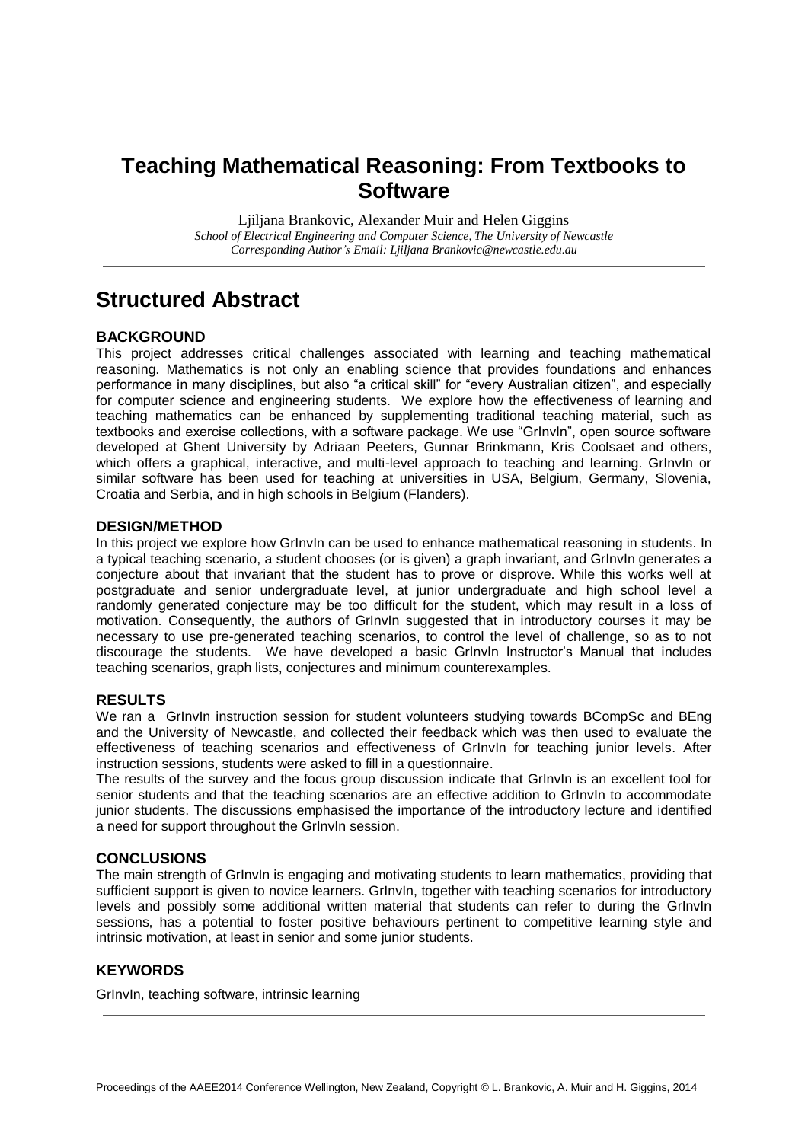## **Teaching Mathematical Reasoning: From Textbooks to Software**

Ljiljana Brankovic, Alexander Muir and Helen Giggins *School of Electrical Engineering and Computer Science, The University of Newcastle Corresponding Author's Email: Ljiljana Brankovic@newcastle.edu.au*

## **Structured Abstract**

### **BACKGROUND**

This project addresses critical challenges associated with learning and teaching mathematical reasoning. Mathematics is not only an enabling science that provides foundations and enhances performance in many disciplines, but also "a critical skill" for "every Australian citizen", and especially for computer science and engineering students. We explore how the effectiveness of learning and teaching mathematics can be enhanced by supplementing traditional teaching material, such as textbooks and exercise collections, with a software package. We use "GrInvIn", open source software developed at Ghent University by Adriaan Peeters, Gunnar Brinkmann, Kris Coolsaet and others, which offers a graphical, interactive, and multi-level approach to teaching and learning. GrInvIn or similar software has been used for teaching at universities in USA, Belgium, Germany, Slovenia, Croatia and Serbia, and in high schools in Belgium (Flanders).

### **DESIGN/METHOD**

In this project we explore how GrInvIn can be used to enhance mathematical reasoning in students. In a typical teaching scenario, a student chooses (or is given) a graph invariant, and GrInvIn generates a conjecture about that invariant that the student has to prove or disprove. While this works well at postgraduate and senior undergraduate level, at junior undergraduate and high school level a randomly generated conjecture may be too difficult for the student, which may result in a loss of motivation. Consequently, the authors of GrInvIn suggested that in introductory courses it may be necessary to use pre-generated teaching scenarios, to control the level of challenge, so as to not discourage the students. We have developed a basic GrInvIn Instructor's Manual that includes teaching scenarios, graph lists, conjectures and minimum counterexamples.

### **RESULTS**

We ran a GrInvIn instruction session for student volunteers studying towards BCompSc and BEng and the University of Newcastle, and collected their feedback which was then used to evaluate the effectiveness of teaching scenarios and effectiveness of GrInvIn for teaching junior levels. After instruction sessions, students were asked to fill in a questionnaire.

The results of the survey and the focus group discussion indicate that GrInvIn is an excellent tool for senior students and that the teaching scenarios are an effective addition to GrInvIn to accommodate junior students. The discussions emphasised the importance of the introductory lecture and identified a need for support throughout the GrInvIn session.

### **CONCLUSIONS**

The main strength of GrInvIn is engaging and motivating students to learn mathematics, providing that sufficient support is given to novice learners. GrInvIn, together with teaching scenarios for introductory levels and possibly some additional written material that students can refer to during the GrInvIn sessions, has a potential to foster positive behaviours pertinent to competitive learning style and intrinsic motivation, at least in senior and some junior students.

### **KEYWORDS**

GrInvIn, teaching software, intrinsic learning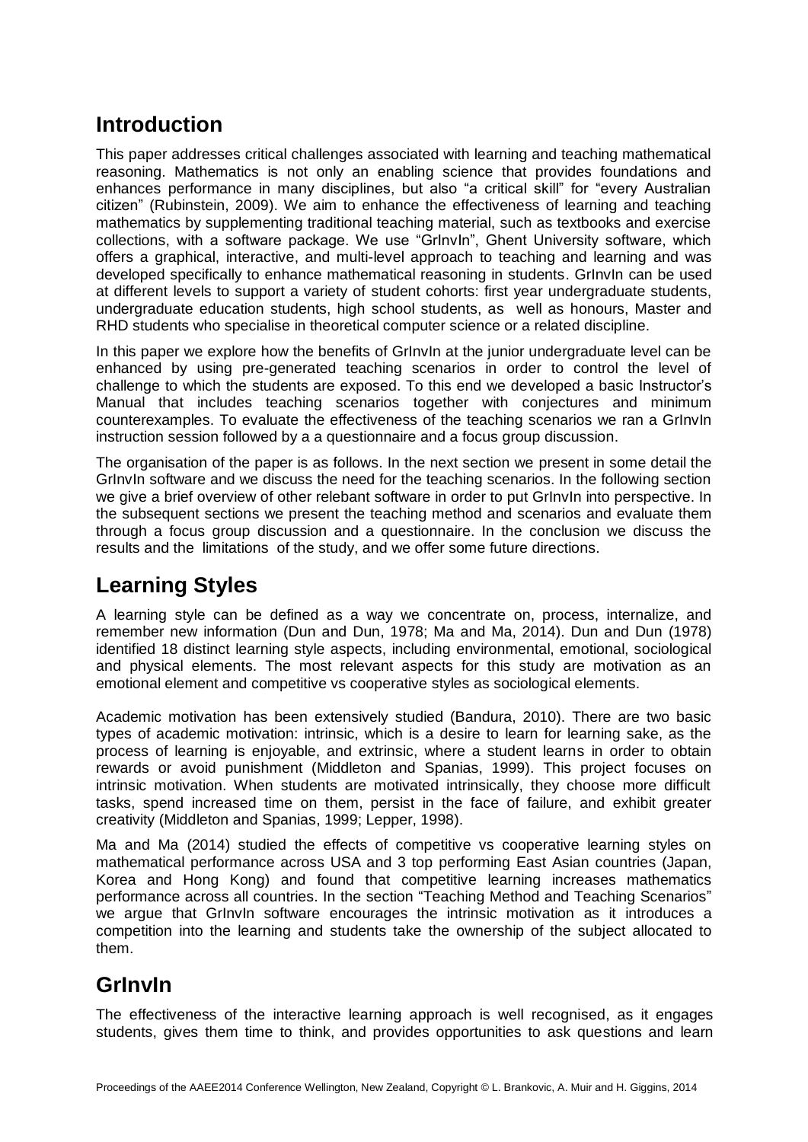# **Introduction**

This paper addresses critical challenges associated with learning and teaching mathematical reasoning. Mathematics is not only an enabling science that provides foundations and enhances performance in many disciplines, but also "a critical skill" for "every Australian citizen" (Rubinstein, 2009). We aim to enhance the effectiveness of learning and teaching mathematics by supplementing traditional teaching material, such as textbooks and exercise collections, with a software package. We use "GrInvIn", Ghent University software, which offers a graphical, interactive, and multi-level approach to teaching and learning and was developed specifically to enhance mathematical reasoning in students. Grinvin can be used at different levels to support a variety of student cohorts: first year undergraduate students, undergraduate education students, high school students, as well as honours, Master and RHD students who specialise in theoretical computer science or a related discipline.

In this paper we explore how the benefits of Grinvin at the junior undergraduate level can be enhanced by using pre-generated teaching scenarios in order to control the level of challenge to which the students are exposed. To this end we developed a basic Instructor's Manual that includes teaching scenarios together with conjectures and minimum counterexamples. To evaluate the effectiveness of the teaching scenarios we ran a GrInvIn instruction session followed by a a questionnaire and a focus group discussion.

The organisation of the paper is as follows. In the next section we present in some detail the GrInvIn software and we discuss the need for the teaching scenarios. In the following section we give a brief overview of other relebant software in order to put GrInvIn into perspective. In the subsequent sections we present the teaching method and scenarios and evaluate them through a focus group discussion and a questionnaire. In the conclusion we discuss the results and the limitations of the study, and we offer some future directions.

## **Learning Styles**

A learning style can be defined as a way we concentrate on, process, internalize, and remember new information (Dun and Dun, 1978; Ma and Ma, 2014). Dun and Dun (1978) identified 18 distinct learning style aspects, including environmental, emotional, sociological and physical elements. The most relevant aspects for this study are motivation as an emotional element and competitive vs cooperative styles as sociological elements.

Academic motivation has been extensively studied (Bandura, 2010). There are two basic types of academic motivation: intrinsic, which is a desire to learn for learning sake, as the process of learning is enjoyable, and extrinsic, where a student learns in order to obtain rewards or avoid punishment (Middleton and Spanias, 1999). This project focuses on intrinsic motivation. When students are motivated intrinsically, they choose more difficult tasks, spend increased time on them, persist in the face of failure, and exhibit greater creativity (Middleton and Spanias, 1999; Lepper, 1998).

Ma and Ma (2014) studied the effects of competitive vs cooperative learning styles on mathematical performance across USA and 3 top performing East Asian countries (Japan, Korea and Hong Kong) and found that competitive learning increases mathematics performance across all countries. In the section "Teaching Method and Teaching Scenarios" we argue that GrInvIn software encourages the intrinsic motivation as it introduces a competition into the learning and students take the ownership of the subject allocated to them.

# **GrInvIn**

The effectiveness of the interactive learning approach is well recognised, as it engages students, gives them time to think, and provides opportunities to ask questions and learn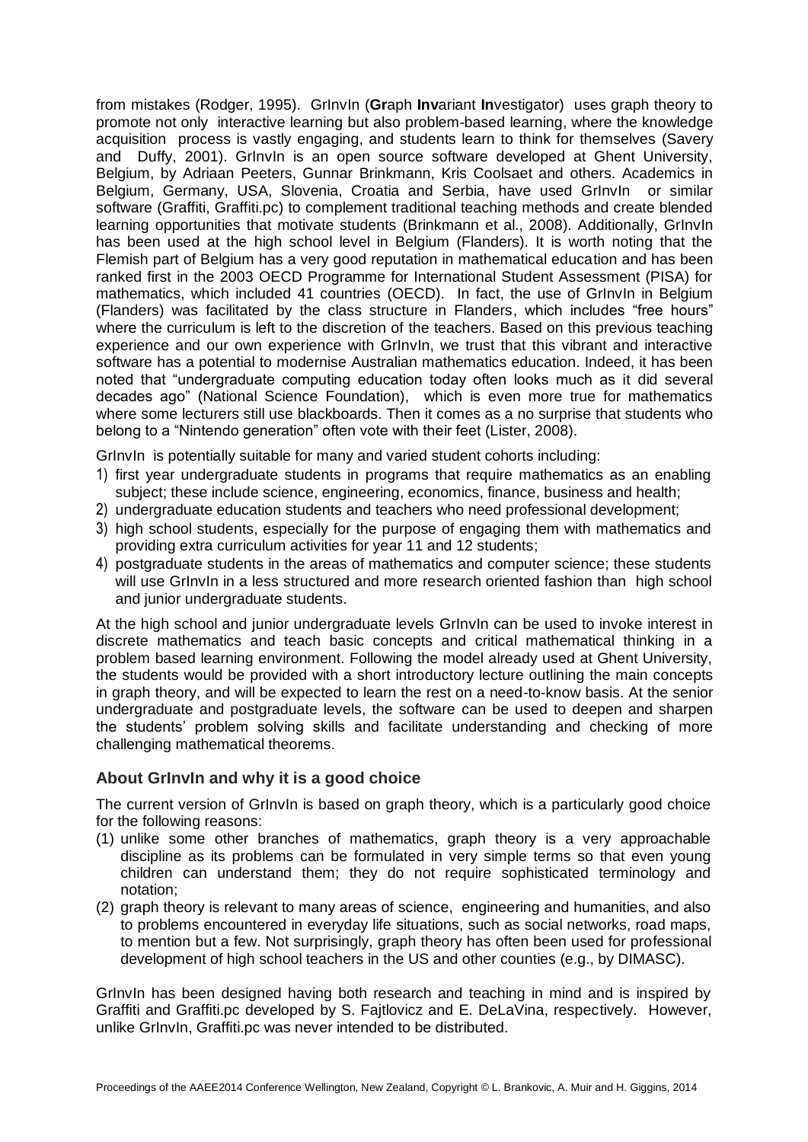from mistakes (Rodger, 1995). GrInvIn (**Gr**aph **Inv**ariant **In**vestigator) uses graph theory to promote not only interactive learning but also problem-based learning, where the knowledge acquisition process is vastly engaging, and students learn to think for themselves (Savery and Duffy, 2001). GrInvIn is an open source software developed at Ghent University, Belgium, by Adriaan Peeters, Gunnar Brinkmann, Kris Coolsaet and others. Academics in Belgium, Germany, USA, Slovenia, Croatia and Serbia, have used Grlnvln or similar software (Graffiti, Graffiti.pc) to complement traditional teaching methods and create blended learning opportunities that motivate students (Brinkmann et al., 2008). Additionally, GrInvIn has been used at the high school level in Belgium (Flanders). It is worth noting that the Flemish part of Belgium has a very good reputation in mathematical education and has been ranked first in the 2003 OECD Programme for International Student Assessment (PISA) for mathematics, which included 41 countries (OECD). In fact, the use of GrInvIn in Belgium (Flanders) was facilitated by the class structure in Flanders, which includes "free hours" where the curriculum is left to the discretion of the teachers. Based on this previous teaching experience and our own experience with GrInvIn, we trust that this vibrant and interactive software has a potential to modernise Australian mathematics education. Indeed, it has been noted that "undergraduate computing education today often looks much as it did several decades ago" (National Science Foundation), which is even more true for mathematics where some lecturers still use blackboards. Then it comes as a no surprise that students who belong to a "Nintendo generation" often vote with their feet (Lister, 2008).

GrInvIn is potentially suitable for many and varied student cohorts including:

- 1) first year undergraduate students in programs that require mathematics as an enabling subject; these include science, engineering, economics, finance, business and health;
- 2) undergraduate education students and teachers who need professional development;
- 3) high school students, especially for the purpose of engaging them with mathematics and providing extra curriculum activities for year 11 and 12 students;
- 4) postgraduate students in the areas of mathematics and computer science; these students will use GrInvIn in a less structured and more research oriented fashion than high school and junior undergraduate students.

At the high school and junior undergraduate levels GrInvIn can be used to invoke interest in discrete mathematics and teach basic concepts and critical mathematical thinking in a problem based learning environment. Following the model already used at Ghent University, the students would be provided with a short introductory lecture outlining the main concepts in graph theory, and will be expected to learn the rest on a need-to-know basis. At the senior undergraduate and postgraduate levels, the software can be used to deepen and sharpen the students' problem solving skills and facilitate understanding and checking of more challenging mathematical theorems.

### **About GrInvIn and why it is a good choice**

The current version of GrInvIn is based on graph theory, which is a particularly good choice for the following reasons:

- (1) unlike some other branches of mathematics, graph theory is a very approachable discipline as its problems can be formulated in very simple terms so that even young children can understand them; they do not require sophisticated terminology and notation;
- (2) graph theory is relevant to many areas of science, engineering and humanities, and also to problems encountered in everyday life situations, such as social networks, road maps, to mention but a few. Not surprisingly, graph theory has often been used for professional development of high school teachers in the US and other counties (e.g., by DIMASC).

GrInvIn has been designed having both research and teaching in mind and is inspired by Graffiti and Graffiti.pc developed by S. Fajtlovicz and E. DeLaVina, respectively. However, unlike GrInvIn, Graffiti.pc was never intended to be distributed.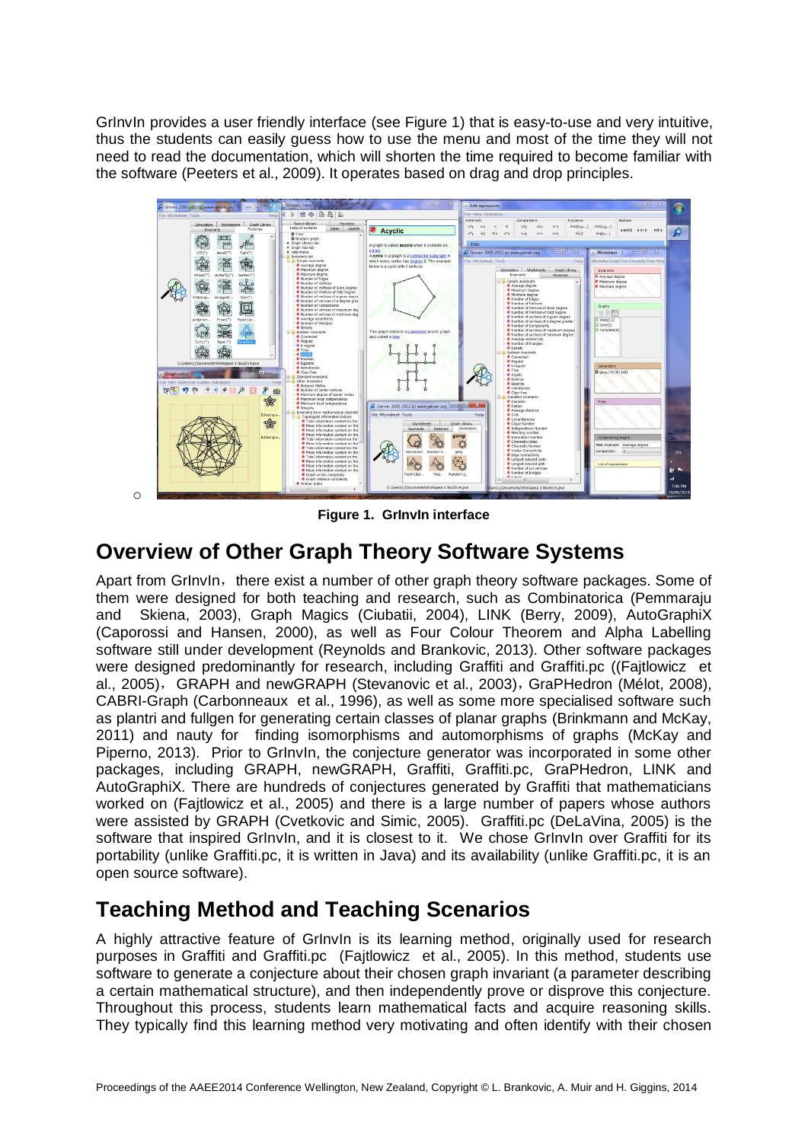GrInvIn provides a user friendly interface (see Figure 1) that is easy-to-use and very intuitive, thus the students can easily guess how to use the menu and most of the time they will not need to read the documentation, which will shorten the time required to become familiar with the software (Peeters et al., 2009). It operates based on drag and drop principles.



**Figure 1. GrInvIn interface**

## **Overview of Other Graph Theory Software Systems**

o

Apart from Grinvin, there exist a number of other graph theory software packages. Some of them were designed for both teaching and research, such as Combinatorica [\(Pemmaraju](http://www.amazon.com/s/ref=dp_byline_sr_book_1?ie=UTF8&field-author=Sriram+Pemmaraju&search-alias=books&text=Sriram+Pemmaraju&sort=relevancerank) and [Skiena,](http://www.amazon.com/s/ref=dp_byline_sr_book_2?ie=UTF8&field-author=Professor+Steven+Skiena&search-alias=books&text=Professor+Steven+Skiena&sort=relevancerank) 2003), Graph Magics (Ciubatii, 2004), LINK (Berry, 2009), AutoGraphiX (Caporossi and Hansen, 2000), as well as Four Colour Theorem and Alpha Labelling software still under development (Reynolds and Brankovic, 2013). Other software packages were designed predominantly for research, including Graffiti and Graffiti.pc ((Fajtlowicz et al., 2005), GRAPH and newGRAPH (Stevanovic et al., 2003), GraPHedron [\(Mélot,](http://www.sciencedirect.com/science/article/pii/S0166218X0700399X) 2008), CABRI-Graph (Carbonneaux et al., 1996), as well as some more specialised software such as plantri and fullgen for generating certain classes of planar graphs (Brinkmann and McKay, 2011) and nauty for finding isomorphisms and automorphisms of graphs (McKay and Piperno, 2013). Prior to GrInvIn, the conjecture generator was incorporated in some other packages, including GRAPH, newGRAPH, Graffiti, Graffiti.pc, GraPHedron, LINK and AutoGraphiX. There are hundreds of conjectures generated by Graffiti that mathematicians worked on (Fajtlowicz et al., 2005) and there is a large number of papers whose authors were assisted by GRAPH (Cvetkovic and Simic, 2005). Graffiti.pc (DeLaVina, 2005) is the software that inspired GrInvIn, and it is closest to it. We chose GrInvIn over Graffiti for its portability (unlike Graffiti.pc, it is written in Java) and its availability (unlike Graffiti.pc, it is an open source software).

## **Teaching Method and Teaching Scenarios**

A highly attractive feature of GrInvIn is its learning method, originally used for research purposes in Graffiti and Graffiti.pc (Fajtlowicz et al., 2005). In this method, students use software to generate a conjecture about their chosen graph invariant (a parameter describing a certain mathematical structure), and then independently prove or disprove this conjecture. Throughout this process, students learn mathematical facts and acquire reasoning skills. They typically find this learning method very motivating and often identify with their chosen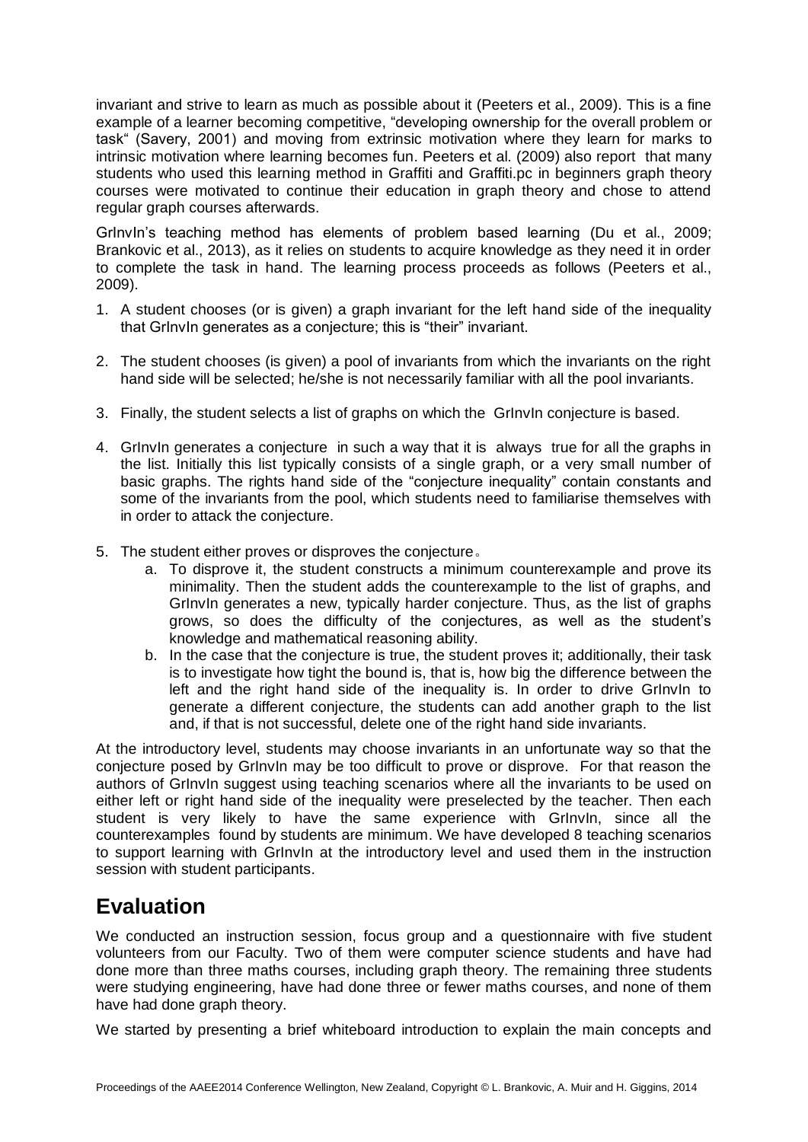invariant and strive to learn as much as possible about it (Peeters et al., 2009). This is a fine example of a learner becoming competitive, "developing ownership for the overall problem or task" (Savery, 2001) and moving from extrinsic motivation where they learn for marks to intrinsic motivation where learning becomes fun. Peeters et al. (2009) also report that many students who used this learning method in Graffiti and Graffiti.pc in beginners graph theory courses were motivated to continue their education in graph theory and chose to attend regular graph courses afterwards.

GrInvIn's teaching method has elements of problem based learning (Du et al., 2009; Brankovic et al., 2013), as it relies on students to acquire knowledge as they need it in order to complete the task in hand. The learning process proceeds as follows (Peeters et al., 2009).

- 1. A student chooses (or is given) a graph invariant for the left hand side of the inequality that GrInvIn generates as a conjecture; this is "their" invariant.
- 2. The student chooses (is given) a pool of invariants from which the invariants on the right hand side will be selected; he/she is not necessarily familiar with all the pool invariants.
- 3. Finally, the student selects a list of graphs on which the GrInvIn conjecture is based.
- 4. GrInvIn generates a conjecture in such a way that it is always true for all the graphs in the list. Initially this list typically consists of a single graph, or a very small number of basic graphs. The rights hand side of the "conjecture inequality" contain constants and some of the invariants from the pool, which students need to familiarise themselves with in order to attack the conjecture.
- 5. The student either proves or disproves the conjecture。
	- a. To disprove it, the student constructs a minimum counterexample and prove its minimality. Then the student adds the counterexample to the list of graphs, and GrInvIn generates a new, typically harder conjecture. Thus, as the list of graphs grows, so does the difficulty of the conjectures, as well as the student's knowledge and mathematical reasoning ability.
	- b. In the case that the conjecture is true, the student proves it; additionally, their task is to investigate how tight the bound is, that is, how big the difference between the left and the right hand side of the inequality is. In order to drive GrInvIn to generate a different conjecture, the students can add another graph to the list and, if that is not successful, delete one of the right hand side invariants.

At the introductory level, students may choose invariants in an unfortunate way so that the conjecture posed by GrInvIn may be too difficult to prove or disprove. For that reason the authors of GrInvIn suggest using teaching scenarios where all the invariants to be used on either left or right hand side of the inequality were preselected by the teacher. Then each student is very likely to have the same experience with GrInvIn, since all the counterexamples found by students are minimum. We have developed 8 teaching scenarios to support learning with GrInvIn at the introductory level and used them in the instruction session with student participants.

## **Evaluation**

We conducted an instruction session, focus group and a questionnaire with five student volunteers from our Faculty. Two of them were computer science students and have had done more than three maths courses, including graph theory. The remaining three students were studying engineering, have had done three or fewer maths courses, and none of them have had done graph theory.

We started by presenting a brief whiteboard introduction to explain the main concepts and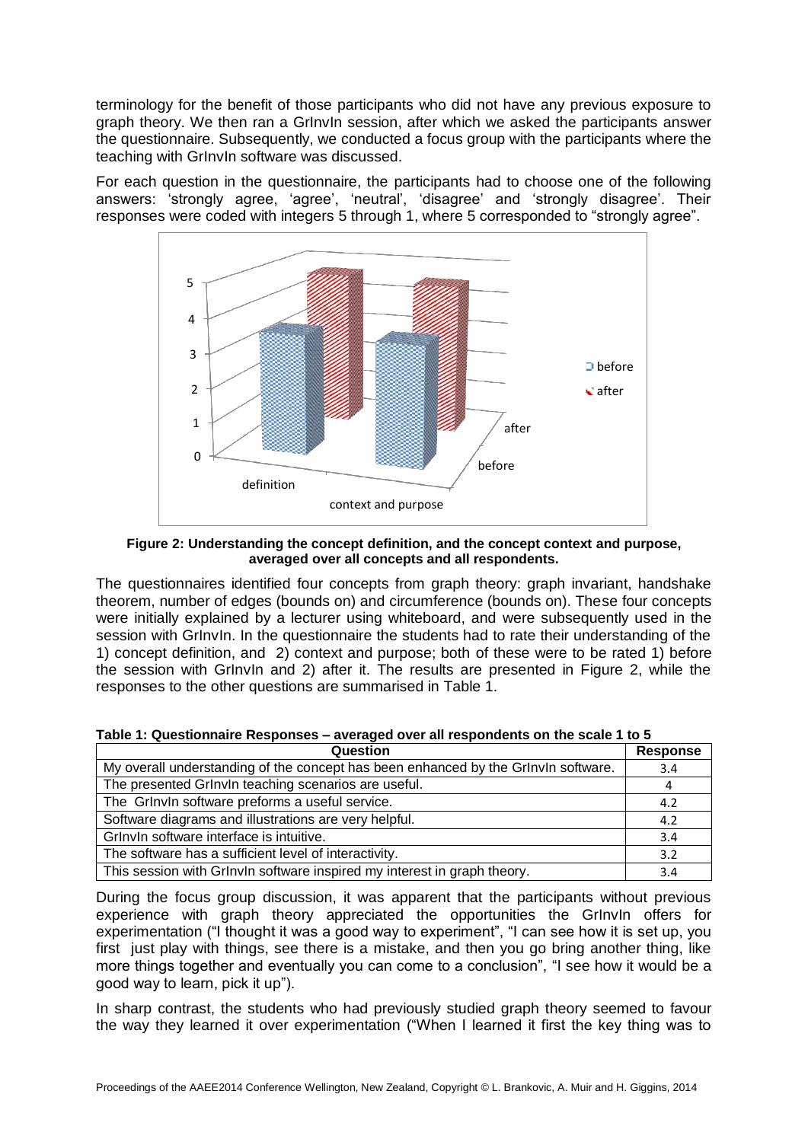terminology for the benefit of those participants who did not have any previous exposure to graph theory. We then ran a GrInvIn session, after which we asked the participants answer the questionnaire. Subsequently, we conducted a focus group with the participants where the teaching with GrInvIn software was discussed.

For each question in the questionnaire, the participants had to choose one of the following answers: 'strongly agree, 'agree', 'neutral', 'disagree' and 'strongly disagree'. Their responses were coded with integers 5 through 1, where 5 corresponded to "strongly agree".



**Figure 2: Understanding the concept definition, and the concept context and purpose, averaged over all concepts and all respondents.**

The questionnaires identified four concepts from graph theory: graph invariant, handshake theorem, number of edges (bounds on) and circumference (bounds on). These four concepts were initially explained by a lecturer using whiteboard, and were subsequently used in the session with GrInvIn. In the questionnaire the students had to rate their understanding of the 1) concept definition, and 2) context and purpose; both of these were to be rated 1) before the session with GrInvIn and 2) after it. The results are presented in Figure 2, while the responses to the other questions are summarised in Table 1.

### **Table 1: Questionnaire Responses – averaged over all respondents on the scale 1 to 5**

| Question                                                                           | <b>Response</b> |
|------------------------------------------------------------------------------------|-----------------|
| My overall understanding of the concept has been enhanced by the GrInvIn software. | 3.4             |
| The presented GrInvIn teaching scenarios are useful.                               |                 |
| The Grinvin software preforms a useful service.                                    | 4.2             |
| Software diagrams and illustrations are very helpful.                              | 4.2             |
| Grlnvln software interface is intuitive.                                           | 3.4             |
| The software has a sufficient level of interactivity.                              | 3.2             |
| This session with Grlnvln software inspired my interest in graph theory.           | 3.4             |

During the focus group discussion, it was apparent that the participants without previous experience with graph theory appreciated the opportunities the GrInvIn offers for experimentation ("I thought it was a good way to experiment", "I can see how it is set up, you first just play with things, see there is a mistake, and then you go bring another thing, like more things together and eventually you can come to a conclusion", "I see how it would be a good way to learn, pick it up").

In sharp contrast, the students who had previously studied graph theory seemed to favour the way they learned it over experimentation ("When I learned it first the key thing was to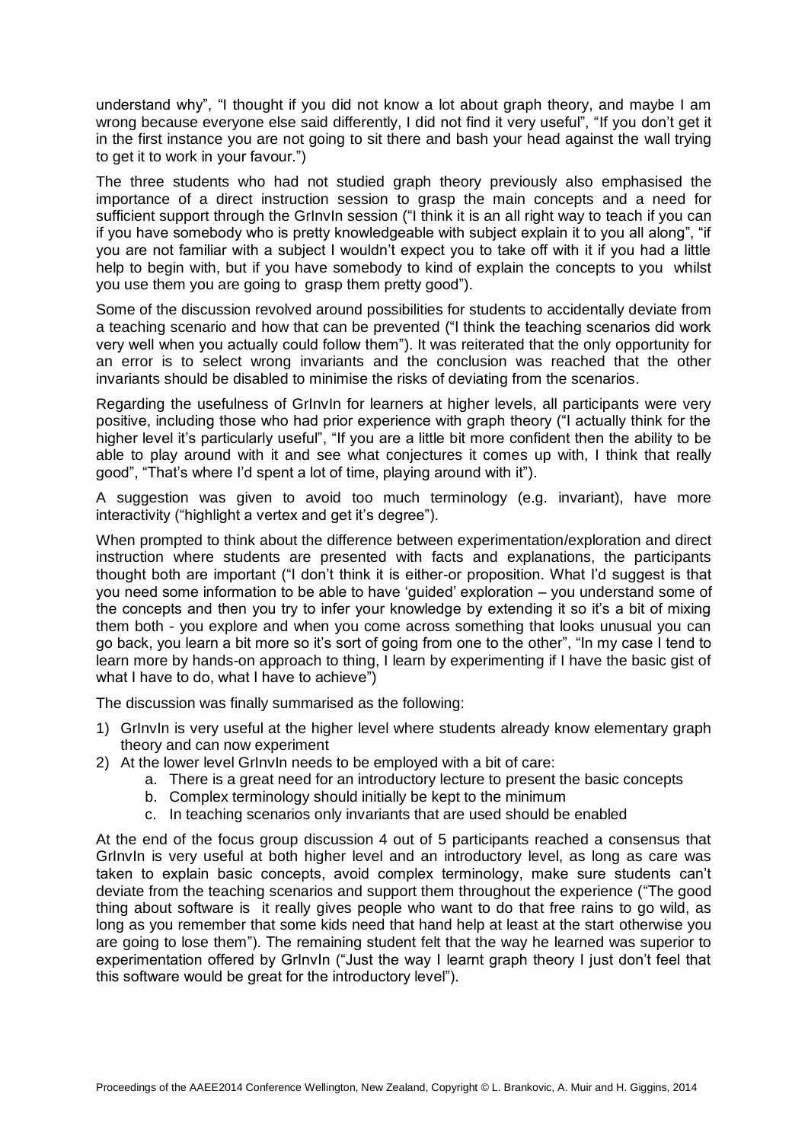understand why", "I thought if you did not know a lot about graph theory, and maybe I am wrong because everyone else said differently, I did not find it very useful", "If you don't get it in the first instance you are not going to sit there and bash your head against the wall trying to get it to work in your favour.")

The three students who had not studied graph theory previously also emphasised the importance of a direct instruction session to grasp the main concepts and a need for sufficient support through the Grinvin session ("I think it is an all right way to teach if you can if you have somebody who is pretty knowledgeable with subject explain it to you all along", "if you are not familiar with a subject I wouldn't expect you to take off with it if you had a little help to begin with, but if you have somebody to kind of explain the concepts to you whilst you use them you are going to grasp them pretty good").

Some of the discussion revolved around possibilities for students to accidentally deviate from a teaching scenario and how that can be prevented ("I think the teaching scenarios did work very well when you actually could follow them"). It was reiterated that the only opportunity for an error is to select wrong invariants and the conclusion was reached that the other invariants should be disabled to minimise the risks of deviating from the scenarios.

Regarding the usefulness of GrInvIn for learners at higher levels, all participants were very positive, including those who had prior experience with graph theory ("I actually think for the higher level it's particularly useful", "If you are a little bit more confident then the ability to be able to play around with it and see what conjectures it comes up with, I think that really good", "That's where I'd spent a lot of time, playing around with it").

A suggestion was given to avoid too much terminology (e.g. invariant), have more interactivity ("highlight a vertex and get it's degree").

When prompted to think about the difference between experimentation/exploration and direct instruction where students are presented with facts and explanations, the participants thought both are important ("I don't think it is either-or proposition. What I'd suggest is that you need some information to be able to have 'guided' exploration – you understand some of the concepts and then you try to infer your knowledge by extending it so it's a bit of mixing them both - you explore and when you come across something that looks unusual you can go back, you learn a bit more so it's sort of going from one to the other", "In my case I tend to learn more by hands-on approach to thing, I learn by experimenting if I have the basic gist of what I have to do, what I have to achieve")

The discussion was finally summarised as the following:

- 1) GrInvIn is very useful at the higher level where students already know elementary graph theory and can now experiment
- 2) At the lower level GrInvIn needs to be employed with a bit of care:
	- a. There is a great need for an introductory lecture to present the basic concepts
	- b. Complex terminology should initially be kept to the minimum
	- c. In teaching scenarios only invariants that are used should be enabled

At the end of the focus group discussion 4 out of 5 participants reached a consensus that GrInvIn is very useful at both higher level and an introductory level, as long as care was taken to explain basic concepts, avoid complex terminology, make sure students can't deviate from the teaching scenarios and support them throughout the experience ("The good thing about software is it really gives people who want to do that free rains to go wild, as long as you remember that some kids need that hand help at least at the start otherwise you are going to lose them"). The remaining student felt that the way he learned was superior to experimentation offered by GrInvIn ("Just the way I learnt graph theory I just don't feel that this software would be great for the introductory level").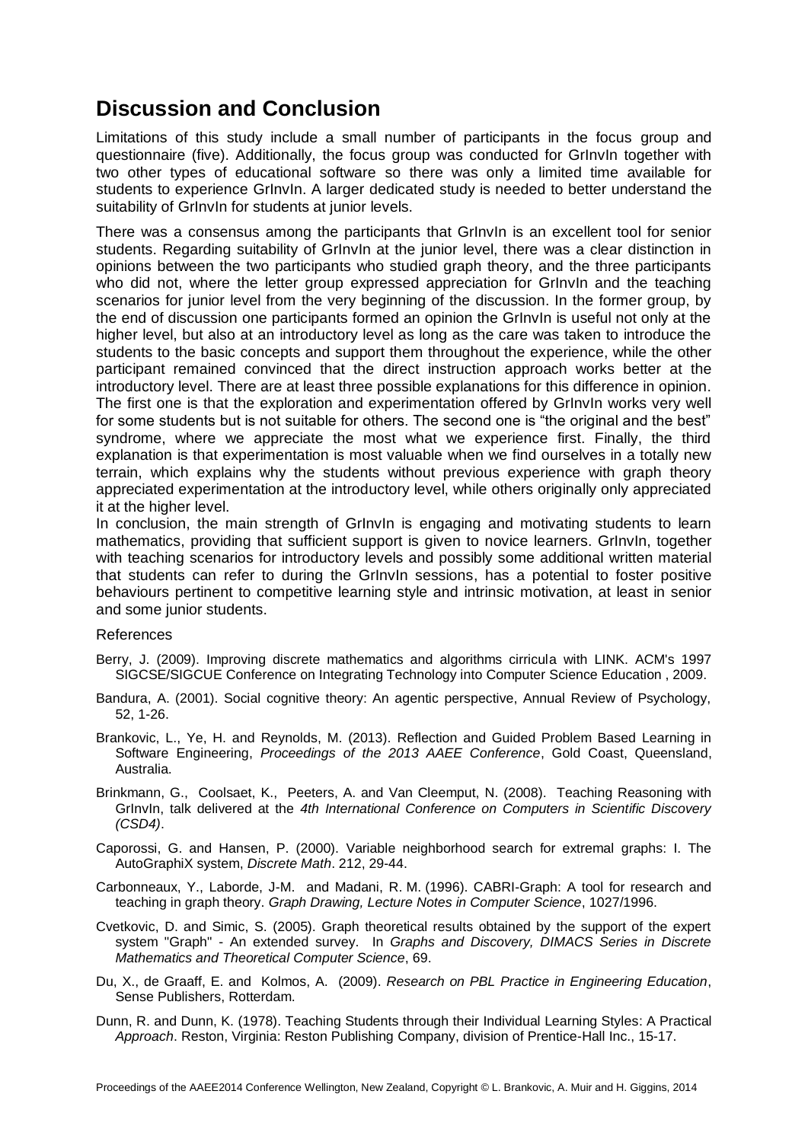## **Discussion and Conclusion**

Limitations of this study include a small number of participants in the focus group and questionnaire (five). Additionally, the focus group was conducted for GrInvIn together with two other types of educational software so there was only a limited time available for students to experience GrInvIn. A larger dedicated study is needed to better understand the suitability of GrInvIn for students at junior levels.

There was a consensus among the participants that GrInvIn is an excellent tool for senior students. Regarding suitability of GrInvIn at the junior level, there was a clear distinction in opinions between the two participants who studied graph theory, and the three participants who did not, where the letter group expressed appreciation for GrInvIn and the teaching scenarios for junior level from the very beginning of the discussion. In the former group, by the end of discussion one participants formed an opinion the GrInvIn is useful not only at the higher level, but also at an introductory level as long as the care was taken to introduce the students to the basic concepts and support them throughout the experience, while the other participant remained convinced that the direct instruction approach works better at the introductory level. There are at least three possible explanations for this difference in opinion. The first one is that the exploration and experimentation offered by GrInvIn works very well for some students but is not suitable for others. The second one is "the original and the best" syndrome, where we appreciate the most what we experience first. Finally, the third explanation is that experimentation is most valuable when we find ourselves in a totally new terrain, which explains why the students without previous experience with graph theory appreciated experimentation at the introductory level, while others originally only appreciated it at the higher level.

In conclusion, the main strength of Grinvin is engaging and motivating students to learn mathematics, providing that sufficient support is given to novice learners. GrInvIn, together with teaching scenarios for introductory levels and possibly some additional written material that students can refer to during the GrInvIn sessions, has a potential to foster positive behaviours pertinent to competitive learning style and intrinsic motivation, at least in senior and some junior students.

### References

- Berry, J. (2009). Improving discrete mathematics and algorithms cirricula with LINK. ACM's 1997 SIGCSE/SIGCUE Conference on Integrating Technology into Computer Science Education , 2009.
- Bandura, A. (2001). Social cognitive theory: An agentic perspective, Annual Review of Psychology, 52, 1-26.
- Brankovic, L., Ye, H. and Reynolds, M. (2013). Reflection and Guided Problem Based Learning in Software Engineering, *Proceedings of the 2013 AAEE Conference*, Gold Coast, Queensland, Australia.
- Brinkmann, G., Coolsaet, K., Peeters, A. and Van Cleemput, N. (2008). Teaching Reasoning with GrInvIn, talk delivered at the *4th International Conference on Computers in Scientific Discovery (CSD4)*.
- Caporossi, G. and Hansen, P. (2000). Variable neighborhood search for extremal graphs: I. The AutoGraphiX system, *Discrete Math*. 212, 29-44.
- Carbonneaux, Y., Laborde, J-M. and Madani, R. M. (1996). CABRI-Graph: A tool for research and teaching in graph theory. *Graph Drawing, [Lecture Notes in Computer Science](http://www.springerlink.com/content/105633/?p=f48b3681aa754bc582e79cc32f6151fa&pi=0)*, 1027/1996.
- Cvetkovic, D. and Simic, S. (2005). Graph theoretical results obtained by the support of the expert system "Graph" - An extended survey. In *Graphs and Discovery, DIMACS Series in Discrete Mathematics and Theoretical Computer Science*, 69.
- Du, X., de Graaff, E. and Kolmos, A. (2009). *Research on PBL Practice in Engineering Education*, Sense Publishers, Rotterdam.
- Dunn, R. and Dunn, K. (1978). Teaching Students through their Individual Learning Styles: A Practical *Approach*. Reston, Virginia: Reston Publishing Company, division of Prentice-Hall Inc., 15-17.